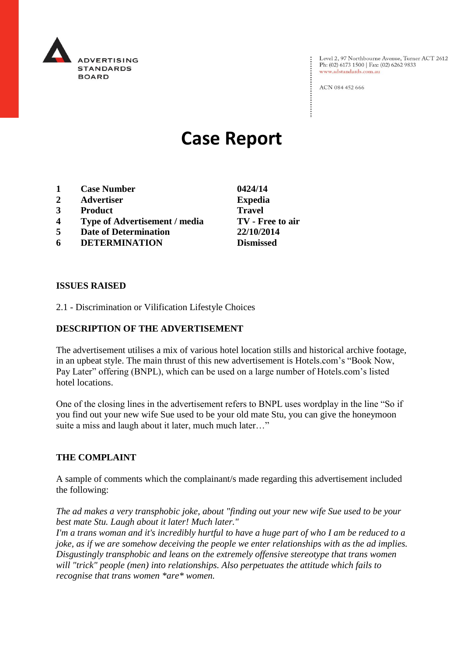

Level 2, 97 Northbourne Avenue, Turner ACT 2612 Ph: (02) 6173 1500 | Fax: (02) 6262 9833 www.adstandards.com.au

ACN 084 452 666

# **Case Report**

- **1 Case Number 0424/14**
- **2 Advertiser Expedia**
- **3 Product Travel**
- **4 Type of Advertisement / media TV - Free to air**
- **5 Date of Determination 22/10/2014**
- **6 DETERMINATION Dismissed**

#### **ISSUES RAISED**

2.1 - Discrimination or Vilification Lifestyle Choices

## **DESCRIPTION OF THE ADVERTISEMENT**

The advertisement utilises a mix of various hotel location stills and historical archive footage, in an upbeat style. The main thrust of this new advertisement is Hotels.com's "Book Now, Pay Later" offering (BNPL), which can be used on a large number of Hotels.com's listed hotel locations.

One of the closing lines in the advertisement refers to BNPL uses wordplay in the line "So if you find out your new wife Sue used to be your old mate Stu, you can give the honeymoon suite a miss and laugh about it later, much much later…"

#### **THE COMPLAINT**

A sample of comments which the complainant/s made regarding this advertisement included the following:

*The ad makes a very transphobic joke, about "finding out your new wife Sue used to be your best mate Stu. Laugh about it later! Much later."*

*I'm a trans woman and it's incredibly hurtful to have a huge part of who I am be reduced to a joke, as if we are somehow deceiving the people we enter relationships with as the ad implies. Disgustingly transphobic and leans on the extremely offensive stereotype that trans women will "trick" people (men) into relationships. Also perpetuates the attitude which fails to recognise that trans women \*are\* women.*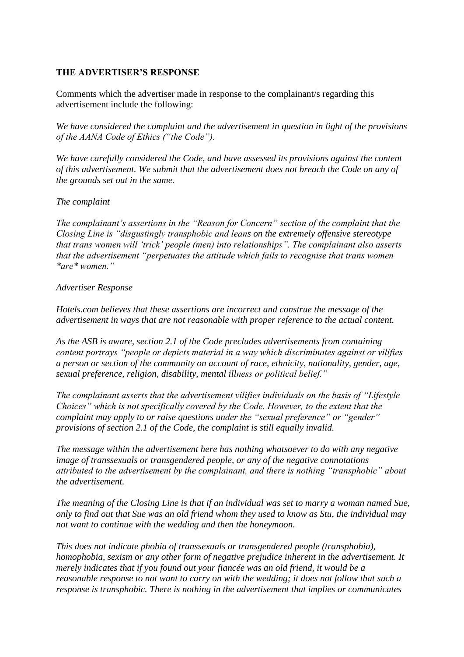#### **THE ADVERTISER'S RESPONSE**

Comments which the advertiser made in response to the complainant/s regarding this advertisement include the following:

*We have considered the complaint and the advertisement in question in light of the provisions of the AANA Code of Ethics ("the Code").* 

*We have carefully considered the Code, and have assessed its provisions against the content of this advertisement. We submit that the advertisement does not breach the Code on any of the grounds set out in the same.* 

#### *The complaint*

*The complainant's assertions in the "Reason for Concern" section of the complaint that the Closing Line is "disgustingly transphobic and leans on the extremely offensive stereotype that trans women will 'trick' people (men) into relationships". The complainant also asserts that the advertisement "perpetuates the attitude which fails to recognise that trans women \*are\* women."* 

## *Advertiser Response*

*Hotels.com believes that these assertions are incorrect and construe the message of the advertisement in ways that are not reasonable with proper reference to the actual content.* 

*As the ASB is aware, section 2.1 of the Code precludes advertisements from containing content portrays "people or depicts material in a way which discriminates against or vilifies a person or section of the community on account of race, ethnicity, nationality, gender, age, sexual preference, religion, disability, mental illness or political belief."* 

*The complainant asserts that the advertisement vilifies individuals on the basis of "Lifestyle Choices" which is not specifically covered by the Code. However, to the extent that the complaint may apply to or raise questions under the "sexual preference" or "gender" provisions of section 2.1 of the Code, the complaint is still equally invalid.* 

*The message within the advertisement here has nothing whatsoever to do with any negative image of transsexuals or transgendered people, or any of the negative connotations attributed to the advertisement by the complainant, and there is nothing "transphobic" about the advertisement.* 

*The meaning of the Closing Line is that if an individual was set to marry a woman named Sue, only to find out that Sue was an old friend whom they used to know as Stu, the individual may not want to continue with the wedding and then the honeymoon.* 

*This does not indicate phobia of transsexuals or transgendered people (transphobia), homophobia, sexism or any other form of negative prejudice inherent in the advertisement. It merely indicates that if you found out your fiancée was an old friend, it would be a reasonable response to not want to carry on with the wedding; it does not follow that such a response is transphobic. There is nothing in the advertisement that implies or communicates*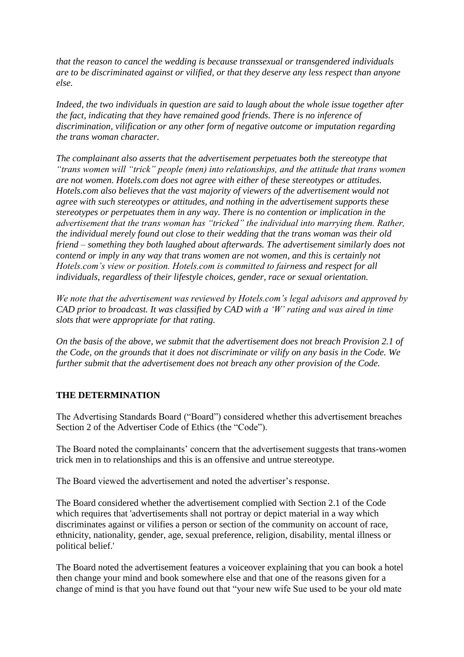*that the reason to cancel the wedding is because transsexual or transgendered individuals are to be discriminated against or vilified, or that they deserve any less respect than anyone else.* 

*Indeed, the two individuals in question are said to laugh about the whole issue together after the fact, indicating that they have remained good friends. There is no inference of discrimination, vilification or any other form of negative outcome or imputation regarding the trans woman character.* 

*The complainant also asserts that the advertisement perpetuates both the stereotype that "trans women will "trick" people (men) into relationships, and the attitude that trans women are not women. Hotels.com does not agree with either of these stereotypes or attitudes. Hotels.com also believes that the vast majority of viewers of the advertisement would not agree with such stereotypes or attitudes, and nothing in the advertisement supports these stereotypes or perpetuates them in any way. There is no contention or implication in the advertisement that the trans woman has "tricked" the individual into marrying them. Rather, the individual merely found out close to their wedding that the trans woman was their old friend – something they both laughed about afterwards. The advertisement similarly does not contend or imply in any way that trans women are not women, and this is certainly not Hotels.com's view or position. Hotels.com is committed to fairness and respect for all individuals, regardless of their lifestyle choices, gender, race or sexual orientation.* 

*We note that the advertisement was reviewed by Hotels.com's legal advisors and approved by CAD prior to broadcast. It was classified by CAD with a 'W' rating and was aired in time slots that were appropriate for that rating.* 

*On the basis of the above, we submit that the advertisement does not breach Provision 2.1 of the Code, on the grounds that it does not discriminate or vilify on any basis in the Code. We further submit that the advertisement does not breach any other provision of the Code.*

# **THE DETERMINATION**

The Advertising Standards Board ("Board") considered whether this advertisement breaches Section 2 of the Advertiser Code of Ethics (the "Code").

The Board noted the complainants' concern that the advertisement suggests that trans-women trick men in to relationships and this is an offensive and untrue stereotype.

The Board viewed the advertisement and noted the advertiser's response.

The Board considered whether the advertisement complied with Section 2.1 of the Code which requires that 'advertisements shall not portray or depict material in a way which discriminates against or vilifies a person or section of the community on account of race, ethnicity, nationality, gender, age, sexual preference, religion, disability, mental illness or political belief.'

The Board noted the advertisement features a voiceover explaining that you can book a hotel then change your mind and book somewhere else and that one of the reasons given for a change of mind is that you have found out that "your new wife Sue used to be your old mate